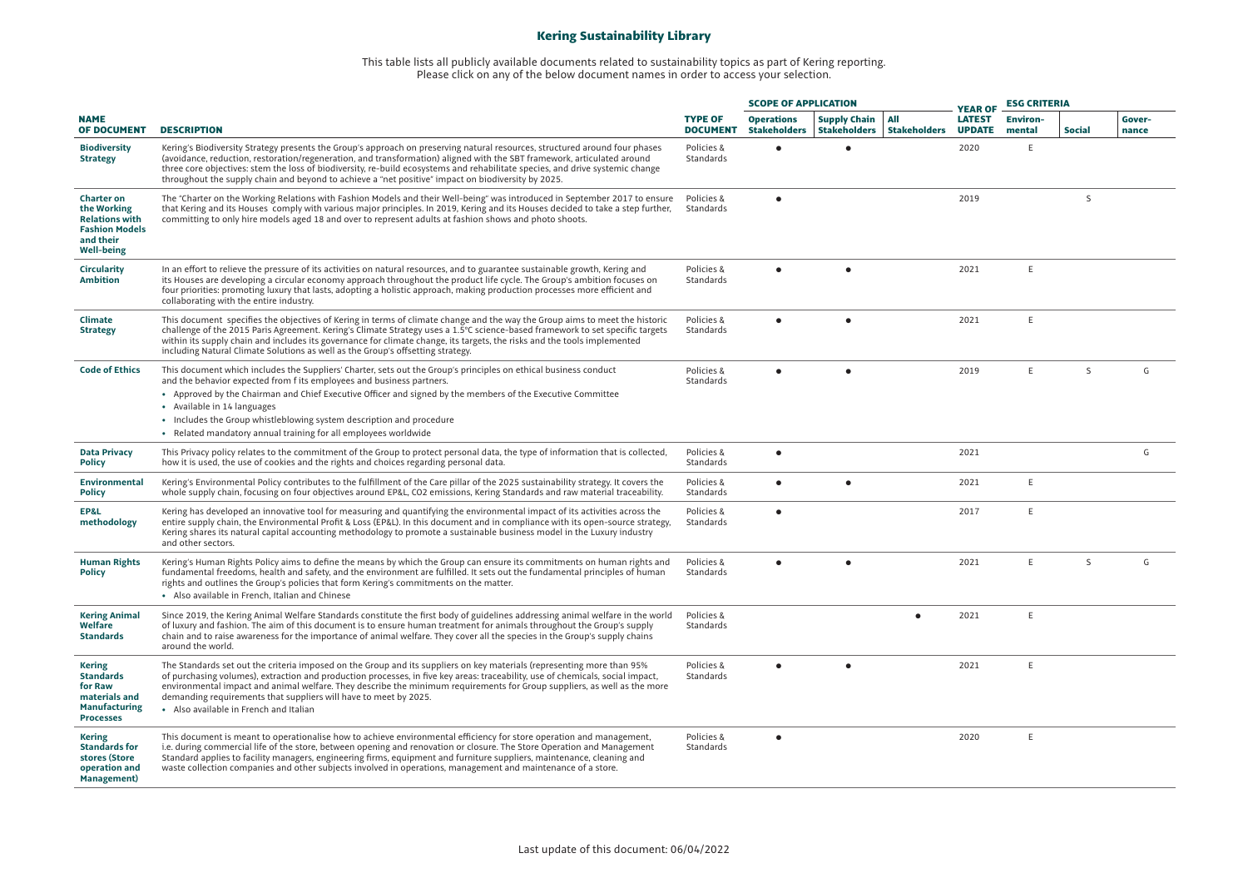## **Kering Sustainability Library**

## This table lists all publicly available documents related to sustainability topics as part of Kering reporting. Please click on any of the below document names in order to access your selection.

|                                                                                                                      |                                                                                                                                                                                                                                                                                                                                                                                                                                                                                                    |                                   |                                          | <b>SCOPE OF APPLICATION</b>                |                                   |                                                  | <b>ESG CRITERIA</b>       |               |                 |
|----------------------------------------------------------------------------------------------------------------------|----------------------------------------------------------------------------------------------------------------------------------------------------------------------------------------------------------------------------------------------------------------------------------------------------------------------------------------------------------------------------------------------------------------------------------------------------------------------------------------------------|-----------------------------------|------------------------------------------|--------------------------------------------|-----------------------------------|--------------------------------------------------|---------------------------|---------------|-----------------|
| <b>NAME</b><br><b>OF DOCUMENT</b>                                                                                    | <b>DESCRIPTION</b>                                                                                                                                                                                                                                                                                                                                                                                                                                                                                 | <b>TYPE OF</b><br><b>DOCUMENT</b> | <b>Operations</b><br><b>Stakeholders</b> | <b>Supply Chain</b><br><b>Stakeholders</b> | <b>AII</b><br><b>Stakeholders</b> | <b>YEAR OF</b><br><b>LATEST</b><br><b>UPDATE</b> | <b>Environ-</b><br>mental | <b>Social</b> | Gover-<br>nance |
| <b>Biodiversity</b><br><b>Strategy</b>                                                                               | Kering's Biodiversity Strategy presents the Group's approach on preserving natural resources, structured around four phases<br>(avoidance, reduction, restoration/regeneration, and transformation) aligned with the SBT framework, articulated around<br>three core objectives: stem the loss of biodiversity, re-build ecosystems and rehabilitate species, and drive systemic change<br>throughout the supply chain and beyond to achieve a "net positive" impact on biodiversity by 2025.      | Policies &<br>Standards           |                                          |                                            |                                   | 2020                                             | E                         |               |                 |
| <b>Charter on</b><br>the Working<br><b>Relations with</b><br><b>Fashion Models</b><br>and their<br><b>Well-being</b> | The "Charter on the Working Relations with Fashion Models and their Well-being" was introduced in September 2017 to ensure<br>that Kering and its Houses comply with various major principles. In 2019, Kering and its Houses decided to take a step further,<br>committing to only hire models aged 18 and over to represent adults at fashion shows and photo shoots.                                                                                                                            | Policies &<br>Standards           | $\bullet$                                |                                            |                                   | 2019                                             |                           | S             |                 |
| Circularity<br><b>Ambition</b>                                                                                       | In an effort to relieve the pressure of its activities on natural resources, and to guarantee sustainable growth, Kering and<br>its Houses are developing a circular economy approach throughout the product life cycle. The Group's ambition focuses on<br>four priorities: promoting luxury that lasts, adopting a holistic approach, making production processes more efficient and<br>collaborating with the entire industry.                                                                  | Policies &<br>Standards           | $\bullet$                                | $\bullet$                                  |                                   | 2021                                             | E                         |               |                 |
| Climate<br><b>Strategy</b>                                                                                           | This document specifies the objectives of Kering in terms of climate change and the way the Group aims to meet the historic<br>challenge of the 2015 Paris Agreement. Kering's Climate Strategy uses a 1.5°C science-based framework to set specific targets<br>within its supply chain and includes its governance for climate change, its targets, the risks and the tools implemented<br>including Natural Climate Solutions as well as the Group's offsetting strategy.                        | Policies &<br>Standards           |                                          | $\bullet$                                  |                                   | 2021                                             | E                         |               |                 |
| <b>Code of Ethics</b>                                                                                                | This document which includes the Suppliers' Charter, sets out the Group's principles on ethical business conduct<br>and the behavior expected from f its employees and business partners.<br>• Approved by the Chairman and Chief Executive Officer and signed by the members of the Executive Committee<br>• Available in 14 languages<br>. Includes the Group whistleblowing system description and procedure<br>• Related mandatory annual training for all employees worldwide                 | Policies &<br>Standards           | $\bullet$                                | $\bullet$                                  |                                   | 2019                                             | E.                        | <sub>S</sub>  | G               |
| <b>Data Privacy</b><br><b>Policy</b>                                                                                 | This Privacy policy relates to the commitment of the Group to protect personal data, the type of information that is collected.<br>how it is used, the use of cookies and the rights and choices regarding personal data.                                                                                                                                                                                                                                                                          | Policies &<br>Standards           | $\bullet$                                |                                            |                                   | 2021                                             |                           |               | G               |
| Environmental<br><b>Policy</b>                                                                                       | Kering's Environmental Policy contributes to the fulfillment of the Care pillar of the 2025 sustainability strategy. It covers the<br>whole supply chain, focusing on four objectives around EP&L, CO2 emissions, Kering Standards and raw material traceability.                                                                                                                                                                                                                                  | Policies &<br>Standards           | $\bullet$                                | $\bullet$                                  |                                   | 2021                                             | E.                        |               |                 |
| EP&L<br>methodology                                                                                                  | Kering has developed an innovative tool for measuring and quantifying the environmental impact of its activities across the<br>entire supply chain, the Environmental Profit & Loss (EP&L). In this document and in compliance with its open-source strategy,<br>Kering shares its natural capital accounting methodology to promote a sustainable business model in the Luxury industry<br>and other sectors.                                                                                     | Policies &<br>Standards           | $\bullet$                                |                                            |                                   | 2017                                             | E                         |               |                 |
| <b>Human Rights</b><br><b>Policy</b>                                                                                 | Kering's Human Rights Policy aims to define the means by which the Group can ensure its commitments on human rights and<br>fundamental freedoms, health and safety, and the environment are fulfilled. It sets out the fundamental principles of human<br>rights and outlines the Group's policies that form Kering's commitments on the matter.<br>• Also available in French, Italian and Chinese                                                                                                | Policies &<br>Standards           | $\bullet$                                | $\bullet$                                  |                                   | 2021                                             | E                         | <sub>S</sub>  | G               |
| <b>Kering Animal</b><br>Welfare<br><b>Standards</b>                                                                  | Since 2019, the Kering Animal Welfare Standards constitute the first body of guidelines addressing animal welfare in the world<br>of luxury and fashion. The aim of this document is to ensure human treatment for animals throughout the Group's supply<br>chain and to raise awareness for the importance of animal welfare. They cover all the species in the Group's supply chains<br>around the world.                                                                                        | Policies &<br>Standards           |                                          |                                            |                                   | 2021                                             | E                         |               |                 |
| <b>Kering</b><br><b>Standards</b><br>for Raw<br>materials and<br><b>Manufacturing</b><br><b>Processes</b>            | The Standards set out the criteria imposed on the Group and its suppliers on key materials (representing more than 95%<br>of purchasing volumes), extraction and production processes, in five key areas: traceability, use of chemicals, social impact,<br>environmental impact and animal welfare. They describe the minimum requirements for Group suppliers, as well as the more<br>demanding requirements that suppliers will have to meet by 2025.<br>• Also available in French and Italian | Policies &<br>Standards           |                                          | $\bullet$                                  |                                   | 2021                                             | E                         |               |                 |
| <b>Kering</b><br><b>Standards for</b><br>stores (Store<br>operation and<br><b>Management</b> )                       | This document is meant to operationalise how to achieve environmental efficiency for store operation and management,<br>i.e. during commercial life of the store, between opening and renovation or closure. The Store Operation and Management<br>Standard applies to facility managers, engineering firms, equipment and furniture suppliers, maintenance, cleaning and<br>waste collection companies and other subjects involved in operations, management and maintenance of a store.          | Policies &<br>Standards           | $\bullet$                                |                                            |                                   | 2020                                             | E                         |               |                 |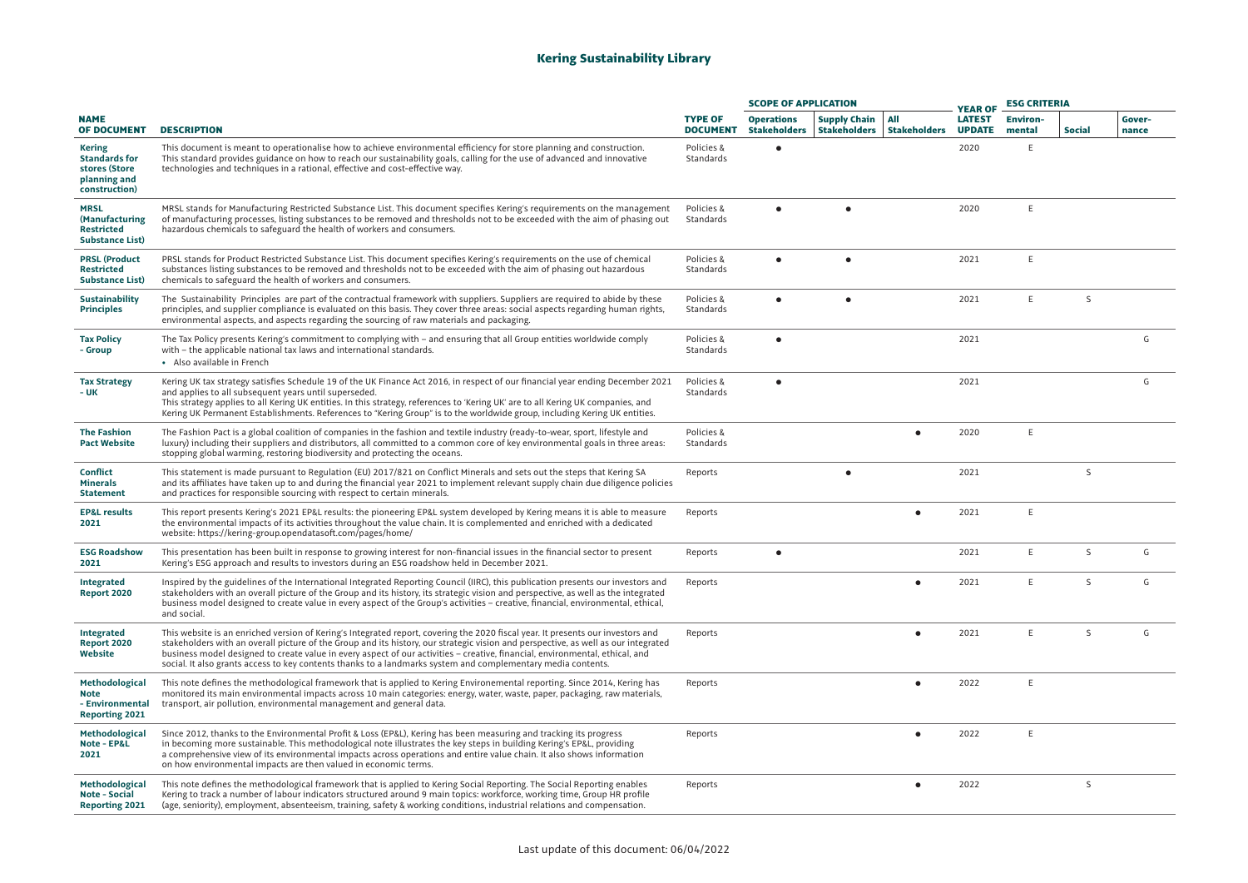## **Kering Sustainability Library**

|                                                                                         |                                                                                                                                                                                                                                                                                                                                                                                                                                                                                                                       |                                   | <b>SCOPE OF APPLICATION</b>              |                                            |                            | <b>YEAR OF</b>                 |                           |               |                 |
|-----------------------------------------------------------------------------------------|-----------------------------------------------------------------------------------------------------------------------------------------------------------------------------------------------------------------------------------------------------------------------------------------------------------------------------------------------------------------------------------------------------------------------------------------------------------------------------------------------------------------------|-----------------------------------|------------------------------------------|--------------------------------------------|----------------------------|--------------------------------|---------------------------|---------------|-----------------|
| <b>NAME</b><br><b>OF DOCUMENT</b>                                                       | <b>DESCRIPTION</b>                                                                                                                                                                                                                                                                                                                                                                                                                                                                                                    | <b>TYPE OF</b><br><b>DOCUMENT</b> | <b>Operations</b><br><b>Stakeholders</b> | <b>Supply Chain</b><br><b>Stakeholders</b> | All<br><b>Stakeholders</b> | <b>LATEST</b><br><b>UPDATE</b> | <b>Environ-</b><br>mental | <b>Social</b> | Gover-<br>nance |
| <b>Kering</b><br><b>Standards for</b><br>stores (Store<br>planning and<br>construction) | This document is meant to operationalise how to achieve environmental efficiency for store planning and construction.<br>This standard provides guidance on how to reach our sustainability goals, calling for the use of advanced and innovative<br>technologies and techniques in a rational, effective and cost-effective way.                                                                                                                                                                                     | Policies &<br>Standards           |                                          |                                            |                            | 2020                           | E                         |               |                 |
| <b>MRSL</b><br>(Manufacturing<br><b>Restricted</b><br><b>Substance List)</b>            | MRSL stands for Manufacturing Restricted Substance List. This document specifies Kering's requirements on the management<br>of manufacturing processes, listing substances to be removed and thresholds not to be exceeded with the aim of phasing out<br>hazardous chemicals to safeguard the health of workers and consumers.                                                                                                                                                                                       | Policies &<br>Standards           |                                          |                                            |                            | 2020                           | E                         |               |                 |
| <b>PRSL (Product</b><br><b>Restricted</b><br><b>Substance List)</b>                     | PRSL stands for Product Restricted Substance List. This document specifies Kering's requirements on the use of chemical<br>substances listing substances to be removed and thresholds not to be exceeded with the aim of phasing out hazardous<br>chemicals to safeguard the health of workers and consumers.                                                                                                                                                                                                         | Policies &<br>Standards           |                                          | $\bullet$                                  |                            | 2021                           | E                         |               |                 |
| <b>Sustainability</b><br><b>Principles</b>                                              | The Sustainability Principles are part of the contractual framework with suppliers. Suppliers are required to abide by these<br>principles, and supplier compliance is evaluated on this basis. They cover three areas: social aspects regarding human rights,<br>environmental aspects, and aspects regarding the sourcing of raw materials and packaging.                                                                                                                                                           | Policies &<br>Standards           | $\bullet$                                | ٠                                          |                            | 2021                           | E                         | S             |                 |
| <b>Tax Policy</b><br>- Group                                                            | The Tax Policy presents Kering's commitment to complying with - and ensuring that all Group entities worldwide comply<br>with – the applicable national tax laws and international standards.<br>• Also available in French                                                                                                                                                                                                                                                                                           | Policies &<br>Standards           | ٠                                        |                                            |                            | 2021                           |                           |               | G               |
| <b>Tax Strategy</b><br>- UK                                                             | Kering UK tax strategy satisfies Schedule 19 of the UK Finance Act 2016, in respect of our financial year ending December 2021<br>and applies to all subsequent years until superseded.<br>This strategy applies to all Kering UK entities. In this strategy, references to 'Kering UK' are to all Kering UK companies, and<br>Kering UK Permanent Establishments. References to "Kering Group" is to the worldwide group, including Kering UK entities.                                                              | Policies &<br>Standards           | $\bullet$                                |                                            |                            | 2021                           |                           |               | G               |
| <b>The Fashion</b><br><b>Pact Website</b>                                               | The Fashion Pact is a global coalition of companies in the fashion and textile industry (ready-to-wear, sport, lifestyle and<br>luxury) including their suppliers and distributors, all committed to a common core of key environmental goals in three areas:<br>stopping global warming, restoring biodiversity and protecting the oceans.                                                                                                                                                                           | Policies &<br>Standards           |                                          |                                            |                            | 2020                           | E                         |               |                 |
| Conflict<br><b>Minerals</b><br><b>Statement</b>                                         | This statement is made pursuant to Regulation (EU) 2017/821 on Conflict Minerals and sets out the steps that Kering SA<br>and its affiliates have taken up to and during the financial year 2021 to implement relevant supply chain due diligence policies<br>and practices for responsible sourcing with respect to certain minerals.                                                                                                                                                                                | Reports                           |                                          | ٠                                          |                            | 2021                           |                           | S             |                 |
| <b>EP&amp;L</b> results<br>2021                                                         | This report presents Kering's 2021 EP&L results: the pioneering EP&L system developed by Kering means it is able to measure<br>the environmental impacts of its activities throughout the value chain. It is complemented and enriched with a dedicated<br>website: https://kering-group.opendatasoft.com/pages/home/                                                                                                                                                                                                 | Reports                           |                                          |                                            | ٠                          | 2021                           | E                         |               |                 |
| <b>ESG Roadshow</b><br>2021                                                             | This presentation has been built in response to growing interest for non-financial issues in the financial sector to present<br>Kering's ESG approach and results to investors during an ESG roadshow held in December 2021.                                                                                                                                                                                                                                                                                          | Reports                           |                                          |                                            |                            | 2021                           | E                         | S             | G               |
| Integrated<br><b>Report 2020</b>                                                        | Inspired by the guidelines of the International Integrated Reporting Council (IIRC), this publication presents our investors and<br>stakeholders with an overall picture of the Group and its history, its strategic vision and perspective, as well as the integrated<br>business model designed to create value in every aspect of the Group's activities – creative, financial, environmental, ethical,<br>and social.                                                                                             | Reports                           |                                          |                                            | ٠                          | 2021                           | E                         | <sub>S</sub>  | G               |
| <b>Integrated</b><br><b>Report 2020</b><br>Website                                      | This website is an enriched version of Kering's Integrated report, covering the 2020 fiscal year. It presents our investors and<br>stakeholders with an overall picture of the Group and its history, our strategic vision and perspective, as well as our integrated<br>business model designed to create value in every aspect of our activities - creative, financial, environmental, ethical, and<br>social. It also grants access to key contents thanks to a landmarks system and complementary media contents. | Reports                           |                                          |                                            |                            | 2021                           | E                         | S             | G               |
| Methodological<br><b>Note</b><br>- Environmental<br><b>Reporting 2021</b>               | This note defines the methodological framework that is applied to Kering Environemental reporting. Since 2014, Kering has<br>monitored its main environmental impacts across 10 main categories: energy, water, waste, paper, packaging, raw materials,<br>transport, air pollution, environmental management and general data.                                                                                                                                                                                       | Reports                           |                                          |                                            |                            | 2022                           | E                         |               |                 |
| Methodological<br>Note - EP&L<br>2021                                                   | Since 2012, thanks to the Environmental Profit & Loss (EP&L), Kering has been measuring and tracking its progress<br>in becoming more sustainable. This methodological note illustrates the key steps in building Kering's EP&L, providing<br>a comprehensive view of its environmental impacts across operations and entire value chain. It also shows information<br>on how environmental impacts are then valued in economic terms.                                                                                | Reports                           |                                          |                                            |                            | 2022                           | E                         |               |                 |
| <b>Methodological</b><br><b>Note - Social</b><br><b>Reporting 2021</b>                  | This note defines the methodological framework that is applied to Kering Social Reporting. The Social Reporting enables<br>Kering to track a number of labour indicators structured around 9 main topics: workforce, working time, Group HR profile<br>(age, seniority), employment, absenteeism, training, safety & working conditions, industrial relations and compensation.                                                                                                                                       | Reports                           |                                          |                                            |                            | 2022                           |                           | <sub>S</sub>  |                 |